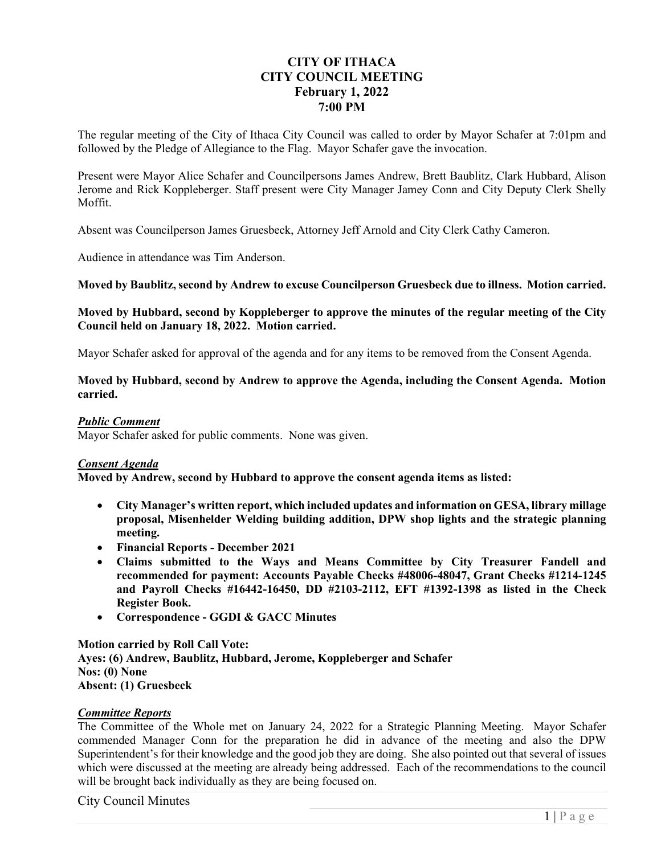# **CITY OF ITHACA CITY COUNCIL MEETING February 1, 2022 7:00 PM**

The regular meeting of the City of Ithaca City Council was called to order by Mayor Schafer at 7:01pm and followed by the Pledge of Allegiance to the Flag. Mayor Schafer gave the invocation.

Present were Mayor Alice Schafer and Councilpersons James Andrew, Brett Baublitz, Clark Hubbard, Alison Jerome and Rick Koppleberger. Staff present were City Manager Jamey Conn and City Deputy Clerk Shelly Moffit.

Absent was Councilperson James Gruesbeck, Attorney Jeff Arnold and City Clerk Cathy Cameron.

Audience in attendance was Tim Anderson.

**Moved by Baublitz, second by Andrew to excuse Councilperson Gruesbeck due to illness. Motion carried.**

#### **Moved by Hubbard, second by Koppleberger to approve the minutes of the regular meeting of the City Council held on January 18, 2022. Motion carried.**

Mayor Schafer asked for approval of the agenda and for any items to be removed from the Consent Agenda.

#### **Moved by Hubbard, second by Andrew to approve the Agenda, including the Consent Agenda. Motion carried.**

#### *Public Comment*

Mayor Schafer asked for public comments. None was given.

## *Consent Agenda*

**Moved by Andrew, second by Hubbard to approve the consent agenda items as listed:** 

- **City Manager's written report, which included updates and information on GESA, library millage proposal, Misenhelder Welding building addition, DPW shop lights and the strategic planning meeting.**
- **Financial Reports December 2021**
- **Claims submitted to the Ways and Means Committee by City Treasurer Fandell and recommended for payment: Accounts Payable Checks #48006-48047, Grant Checks #1214-1245 and Payroll Checks #16442-16450, DD #2103-2112, EFT #1392-1398 as listed in the Check Register Book.**
- **Correspondence GGDI & GACC Minutes**

**Motion carried by Roll Call Vote: Ayes: (6) Andrew, Baublitz, Hubbard, Jerome, Koppleberger and Schafer Nos: (0) None Absent: (1) Gruesbeck** 

#### *Committee Reports*

The Committee of the Whole met on January 24, 2022 for a Strategic Planning Meeting. Mayor Schafer commended Manager Conn for the preparation he did in advance of the meeting and also the DPW Superintendent's for their knowledge and the good job they are doing. She also pointed out that several of issues which were discussed at the meeting are already being addressed. Each of the recommendations to the council will be brought back individually as they are being focused on.

### City Council Minutes